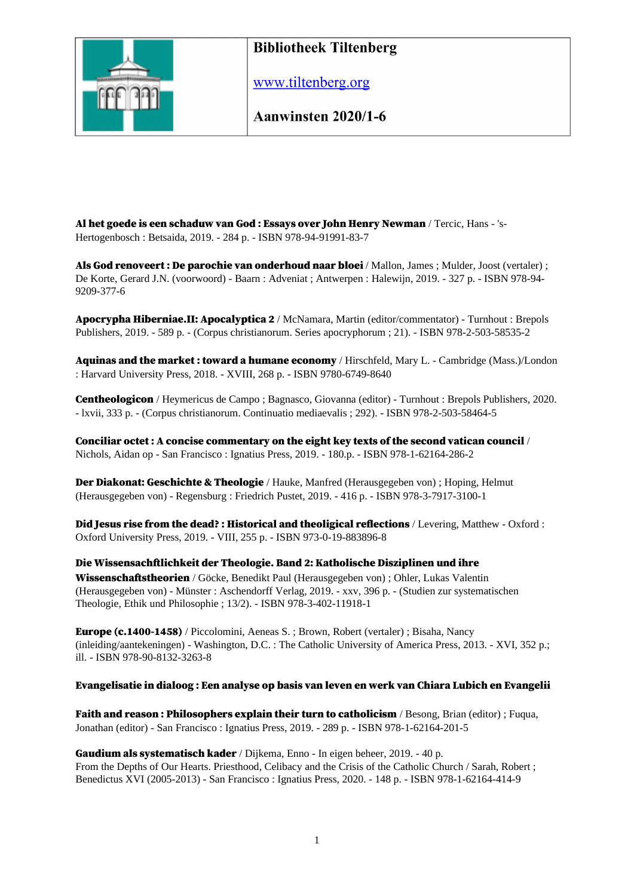

www.tiltenberg.org

Aanwinsten 2020/1-6

Al het goede is een schaduw van God : Essays over John Henry Newman / Tercic, Hans - 's-Hertogenbosch : Betsaida, 2019. - 284 p. - ISBN 978-94-91991-83-7

Als God renoveert : De parochie van onderhoud naar bloei / Mallon, James ; Mulder, Joost (vertaler) ; De Korte, Gerard J.N. (voorwoord) - Baarn : Adveniat ; Antwerpen : Halewijn, 2019. - 327 p. - ISBN 978-94- 9209-377-6

Apocrypha Hiberniae.II: Apocalyptica 2 / McNamara, Martin (editor/commentator) - Turnhout : Brepols Publishers, 2019. - 589 p. - (Corpus christianorum. Series apocryphorum ; 21). - ISBN 978-2-503-58535-2

Aquinas and the market: toward a humane economy / Hirschfeld, Mary L. - Cambridge (Mass.)/London : Harvard University Press, 2018. - XVIII, 268 p. - ISBN 9780-6749-8640

Centheologicon / Heymericus de Campo ; Bagnasco, Giovanna (editor) - Turnhout : Brepols Publishers, 2020. - lxvii, 333 p. - (Corpus christianorum. Continuatio mediaevalis ; 292). - ISBN 978-2-503-58464-5

Conciliar octet : A concise commentary on the eight key texts of the second vatican council / Nichols, Aidan op - San Francisco : Ignatius Press, 2019. - 180.p. - ISBN 978-1-62164-286-2

Der Diakonat: Geschichte & Theologie / Hauke, Manfred (Herausgegeben von) ; Hoping, Helmut (Herausgegeben von) - Regensburg : Friedrich Pustet, 2019. - 416 p. - ISBN 978-3-7917-3100-1

Did Jesus rise from the dead? : Historical and theoligical reflections / Levering, Matthew - Oxford : Oxford University Press, 2019. - VIII, 255 p. - ISBN 973-0-19-883896-8

Die Wissensachftlichkeit der Theologie. Band 2: Katholische Disziplinen und ihre Wissenschaftstheorien / Göcke, Benedikt Paul (Herausgegeben von) ; Ohler, Lukas Valentin (Herausgegeben von) - Münster : Aschendorff Verlag, 2019. - xxv, 396 p. - (Studien zur systematischen Theologie, Ethik und Philosophie ; 13/2). - ISBN 978-3-402-11918-1

Europe (c.1400-1458) / Piccolomini, Aeneas S. ; Brown, Robert (vertaler) ; Bisaha, Nancy (inleiding/aantekeningen) - Washington, D.C. : The Catholic University of America Press, 2013. - XVI, 352 p.; ill. - ISBN 978-90-8132-3263-8

#### Evangelisatie in dialoog : Een analyse op basis van leven en werk van Chiara Lubich en Evangelii

Faith and reason: Philosophers explain their turn to catholicism / Besong, Brian (editor) ; Fuqua, Jonathan (editor) - San Francisco : Ignatius Press, 2019. - 289 p. - ISBN 978-1-62164-201-5

Gaudium als systematisch kader / Dijkema, Enno - In eigen beheer, 2019. - 40 p. From the Depths of Our Hearts. Priesthood, Celibacy and the Crisis of the Catholic Church / Sarah, Robert ; Benedictus XVI (2005-2013) - San Francisco : Ignatius Press, 2020. - 148 p. - ISBN 978-1-62164-414-9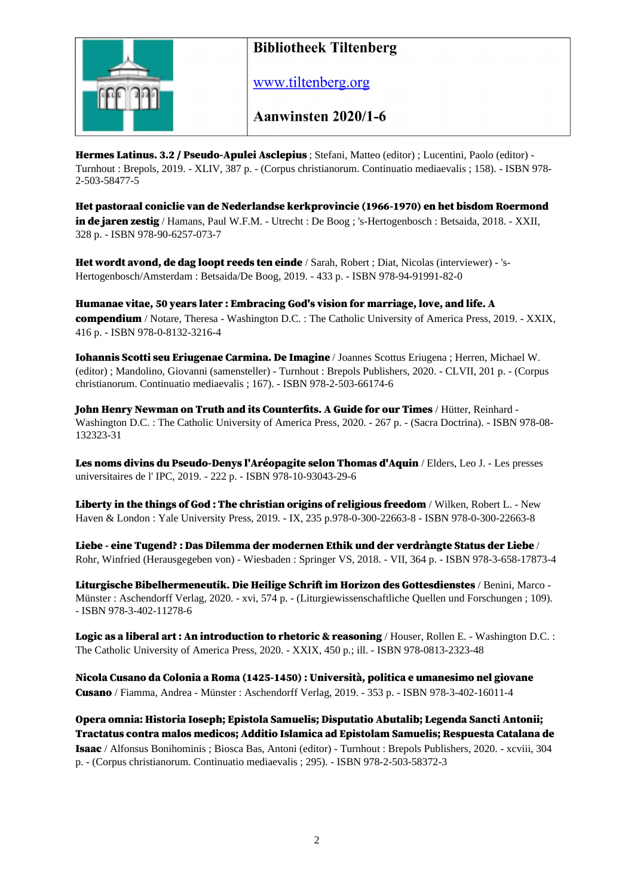

www.tiltenberg.org

Aanwinsten 2020/1-6

Hermes Latinus. 3.2 / Pseudo-Apulei Asclepius ; Stefani, Matteo (editor) ; Lucentini, Paolo (editor) - Turnhout : Brepols, 2019. - XLIV, 387 p. - (Corpus christianorum. Continuatio mediaevalis ; 158). - ISBN 978- 2-503-58477-5

Het pastoraal coniclie van de Nederlandse kerkprovincie (1966-1970) en het bisdom Roermond in de jaren zestig / Hamans, Paul W.F.M. - Utrecht : De Boog ; 's-Hertogenbosch : Betsaida, 2018. - XXII, 328 p. - ISBN 978-90-6257-073-7

Het wordt avond, de dag loopt reeds ten einde / Sarah, Robert ; Diat, Nicolas (interviewer) - 's-Hertogenbosch/Amsterdam : Betsaida/De Boog, 2019. - 433 p. - ISBN 978-94-91991-82-0

Humanae vitae, 50 years later : Embracing God's vision for marriage, love, and life. A compendium / Notare, Theresa - Washington D.C. : The Catholic University of America Press, 2019. - XXIX, 416 p. - ISBN 978-0-8132-3216-4

Iohannis Scotti seu Eriugenae Carmina. De Imagine / Joannes Scottus Eriugena ; Herren, Michael W. (editor) ; Mandolino, Giovanni (samensteller) - Turnhout : Brepols Publishers, 2020. - CLVII, 201 p. - (Corpus christianorum. Continuatio mediaevalis ; 167). - ISBN 978-2-503-66174-6

John Henry Newman on Truth and its Counterfits. A Guide for our Times / Hütter, Reinhard -Washington D.C. : The Catholic University of America Press, 2020. - 267 p. - (Sacra Doctrina). - ISBN 978-08- 132323-31

Les noms divins du Pseudo-Denys l'Aréopagite selon Thomas d'Aquin / Elders, Leo J. - Les presses universitaires de l' IPC, 2019. - 222 p. - ISBN 978-10-93043-29-6

Liberty in the things of God: The christian origins of religious freedom / Wilken, Robert L. - New Haven & London : Yale University Press, 2019. - IX, 235 p.978-0-300-22663-8 - ISBN 978-0-300-22663-8

Liebe - eine Tugend? : Das Dilemma der modernen Ethik und der verdràngte Status der Liebe / Rohr, Winfried (Herausgegeben von) - Wiesbaden : Springer VS, 2018. - VII, 364 p. - ISBN 978-3-658-17873-4

Liturgische Bibelhermeneutik. Die Heilige Schrift im Horizon des Gottesdienstes / Benini, Marco - Münster : Aschendorff Verlag, 2020. - xvi, 574 p. - (Liturgiewissenschaftliche Quellen und Forschungen ; 109). - ISBN 978-3-402-11278-6

Logic as a liberal art : An introduction to rhetoric & reasoning / Houser, Rollen E. - Washington D.C. : The Catholic University of America Press, 2020. - XXIX, 450 p.; ill. - ISBN 978-0813-2323-48

Nicola Cusano da Colonia a Roma (1425-1450) : Università, politica e umanesimo nel giovane Cusano / Fiamma, Andrea - Münster : Aschendorff Verlag, 2019. - 353 p. - ISBN 978-3-402-16011-4

Opera omnia: Historia Ioseph; Epistola Samuelis; Disputatio Abutalib; Legenda Sancti Antonii; Tractatus contra malos medicos; Additio Islamica ad Epistolam Samuelis; Respuesta Catalana de Isaac / Alfonsus Bonihominis ; Biosca Bas, Antoni (editor) - Turnhout : Brepols Publishers, 2020. - xcviii, 304 p. - (Corpus christianorum. Continuatio mediaevalis ; 295). - ISBN 978-2-503-58372-3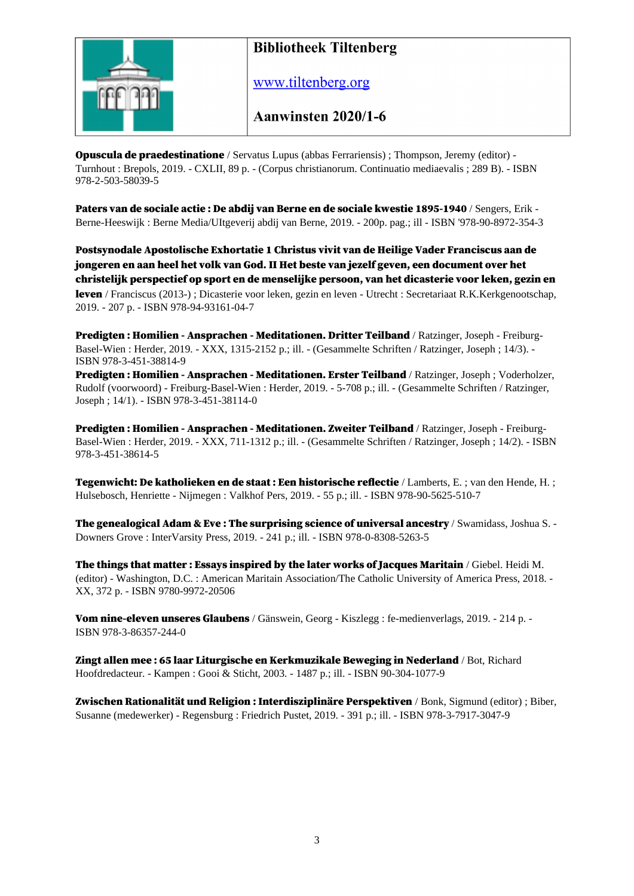

www.tiltenberg.org

Aanwinsten 2020/1-6

Opuscula de praedestinatione / Servatus Lupus (abbas Ferrariensis) ; Thompson, Jeremy (editor) - Turnhout : Brepols, 2019. - CXLII, 89 p. - (Corpus christianorum. Continuatio mediaevalis ; 289 B). - ISBN 978-2-503-58039-5

Paters van de sociale actie : De abdij van Berne en de sociale kwestie 1895-1940 / Sengers, Erik - Berne-Heeswijk : Berne Media/UItgeverij abdij van Berne, 2019. - 200p. pag.; ill - ISBN '978-90-8972-354-3

Postsynodale Apostolische Exhortatie 1 Christus vivit van de Heilige Vader Franciscus aan de jongeren en aan heel het volk van God. II Het beste van jezelf geven, een document over het christelijk perspectief op sport en de menselijke persoon, van het dicasterie voor leken, gezin en leven / Franciscus (2013-) ; Dicasterie voor leken, gezin en leven - Utrecht : Secretariaat R.K.Kerkgenootschap, 2019. - 207 p. - ISBN 978-94-93161-04-7

Predigten : Homilien - Ansprachen - Meditationen. Dritter Teilband / Ratzinger, Joseph - Freiburg-Basel-Wien : Herder, 2019. - XXX, 1315-2152 p.; ill. - (Gesammelte Schriften / Ratzinger, Joseph ; 14/3). - ISBN 978-3-451-38814-9

Predigten : Homilien - Ansprachen - Meditationen. Erster Teilband / Ratzinger, Joseph ; Voderholzer, Rudolf (voorwoord) - Freiburg-Basel-Wien : Herder, 2019. - 5-708 p.; ill. - (Gesammelte Schriften / Ratzinger, Joseph ; 14/1). - ISBN 978-3-451-38114-0

Predigten : Homilien - Ansprachen - Meditationen. Zweiter Teilband / Ratzinger, Joseph - Freiburg-Basel-Wien : Herder, 2019. - XXX, 711-1312 p.; ill. - (Gesammelte Schriften / Ratzinger, Joseph ; 14/2). - ISBN 978-3-451-38614-5

Tegenwicht: De katholieken en de staat : Een historische reflectie / Lamberts, E. ; van den Hende, H. ; Hulsebosch, Henriette - Nijmegen : Valkhof Pers, 2019. - 55 p.; ill. - ISBN 978-90-5625-510-7

The genealogical Adam & Eve : The surprising science of universal ancestry / Swamidass, Joshua S. -Downers Grove : InterVarsity Press, 2019. - 241 p.; ill. - ISBN 978-0-8308-5263-5

The things that matter : Essays inspired by the later works of Jacques Maritain / Giebel. Heidi M. (editor) - Washington, D.C. : American Maritain Association/The Catholic University of America Press, 2018. - XX, 372 p. - ISBN 9780-9972-20506

Vom nine-eleven unseres Glaubens / Gänswein, Georg - Kiszlegg : fe-medienverlags, 2019. - 214 p. -ISBN 978-3-86357-244-0

Zingt allen mee : 65 laar Liturgische en Kerkmuzikale Beweging in Nederland / Bot, Richard Hoofdredacteur. - Kampen : Gooi & Sticht, 2003. - 1487 p.; ill. - ISBN 90-304-1077-9

Zwischen Rationalität und Religion : Interdisziplinäre Perspektiven / Bonk, Sigmund (editor) ; Biber, Susanne (medewerker) - Regensburg : Friedrich Pustet, 2019. - 391 p.; ill. - ISBN 978-3-7917-3047-9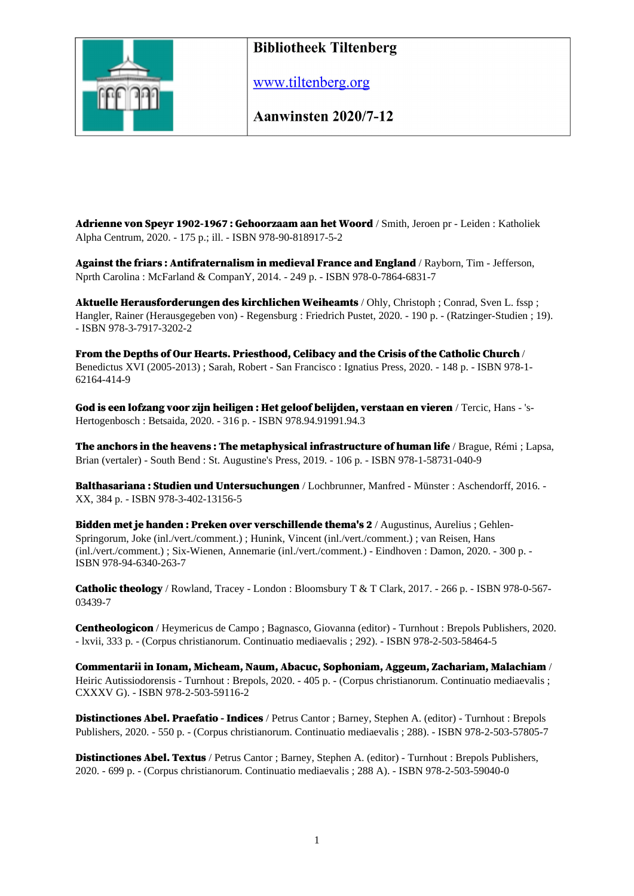

www.tiltenberg.org

**Aanwinsten 2020/7-12** 

Adrienne von Speyr 1902-1967 : Gehoorzaam aan het Woord / Smith, Jeroen pr - Leiden : Katholiek Alpha Centrum, 2020. - 175 p.; ill. - ISBN 978-90-818917-5-2

Against the friars : Antifraternalism in medieval France and England / Rayborn, Tim - Jefferson, Nprth Carolina : McFarland & CompanY, 2014. - 249 p. - ISBN 978-0-7864-6831-7

Aktuelle Herausforderungen des kirchlichen Weiheamts / Ohly, Christoph ; Conrad, Sven L. fssp ; Hangler, Rainer (Herausgegeben von) - Regensburg : Friedrich Pustet, 2020. - 190 p. - (Ratzinger-Studien ; 19). - ISBN 978-3-7917-3202-2

From the Depths of Our Hearts. Priesthood, Celibacy and the Crisis of the Catholic Church / Benedictus XVI (2005-2013) ; Sarah, Robert - San Francisco : Ignatius Press, 2020. - 148 p. - ISBN 978-1- 62164-414-9

God is een lofzang voor zijn heiligen : Het geloof belijden, verstaan en vieren / Tercic, Hans - 's-Hertogenbosch : Betsaida, 2020. - 316 p. - ISBN 978.94.91991.94.3

The anchors in the heavens : The metaphysical infrastructure of human life / Brague, Rémi ; Lapsa, Brian (vertaler) - South Bend : St. Augustine's Press, 2019. - 106 p. - ISBN 978-1-58731-040-9

Balthasariana : Studien und Untersuchungen / Lochbrunner, Manfred - Münster : Aschendorff, 2016. -XX, 384 p. - ISBN 978-3-402-13156-5

Bidden met je handen : Preken over verschillende thema's 2 / Augustinus, Aurelius ; Gehlen-Springorum, Joke (inl./vert./comment.) ; Hunink, Vincent (inl./vert./comment.) ; van Reisen, Hans (inl./vert./comment.) ; Six-Wienen, Annemarie (inl./vert./comment.) - Eindhoven : Damon, 2020. - 300 p. - ISBN 978-94-6340-263-7

Catholic theology / Rowland, Tracey - London : Bloomsbury T & T Clark, 2017. - 266 p. - ISBN 978-0-567- 03439-7

Centheologicon / Heymericus de Campo ; Bagnasco, Giovanna (editor) - Turnhout : Brepols Publishers, 2020. - lxvii, 333 p. - (Corpus christianorum. Continuatio mediaevalis ; 292). - ISBN 978-2-503-58464-5

Commentarii in Ionam, Micheam, Naum, Abacuc, Sophoniam, Aggeum, Zachariam, Malachiam / Heiric Autissiodorensis - Turnhout : Brepols, 2020. - 405 p. - (Corpus christianorum. Continuatio mediaevalis ; CXXXV G). - ISBN 978-2-503-59116-2

Distinctiones Abel. Praefatio - Indices / Petrus Cantor ; Barney, Stephen A. (editor) - Turnhout : Brepols Publishers, 2020. - 550 p. - (Corpus christianorum. Continuatio mediaevalis ; 288). - ISBN 978-2-503-57805-7

Distinctiones Abel. Textus / Petrus Cantor ; Barney, Stephen A. (editor) - Turnhout : Brepols Publishers, 2020. - 699 p. - (Corpus christianorum. Continuatio mediaevalis ; 288 A). - ISBN 978-2-503-59040-0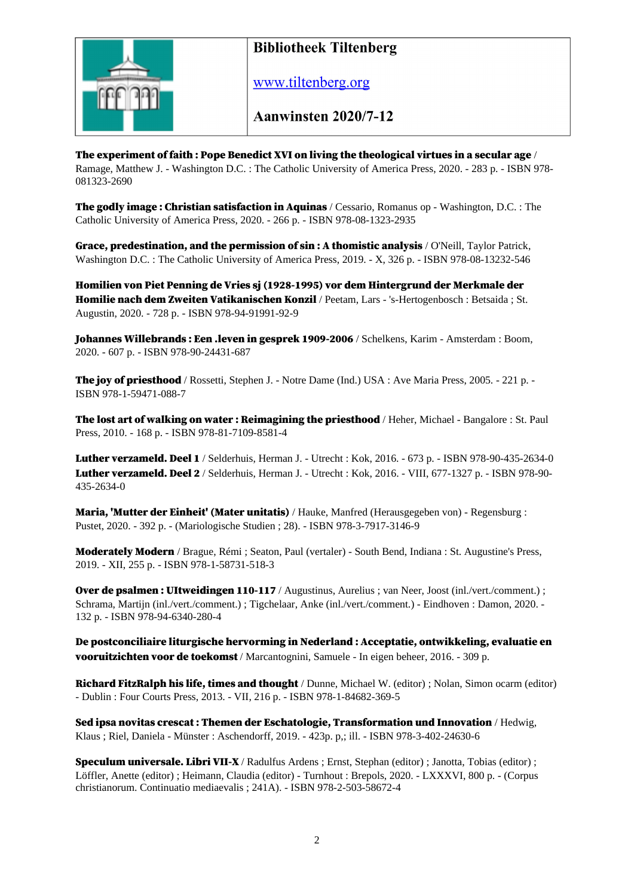

www.tiltenberg.org

**Aanwinsten 2020/7-12** 

The experiment of faith : Pope Benedict XVI on living the theological virtues in a secular age / Ramage, Matthew J. - Washington D.C. : The Catholic University of America Press, 2020. - 283 p. - ISBN 978- 081323-2690

The godly image: Christian satisfaction in Aquinas / Cessario, Romanus op - Washington, D.C. : The Catholic University of America Press, 2020. - 266 p. - ISBN 978-08-1323-2935

Grace, predestination, and the permission of sin: A thomistic analysis / O'Neill, Taylor Patrick, Washington D.C. : The Catholic University of America Press, 2019. - X, 326 p. - ISBN 978-08-13232-546

Homilien von Piet Penning de Vries sj (1928-1995) vor dem Hintergrund der Merkmale der Homilie nach dem Zweiten Vatikanischen Konzil / Peetam, Lars - 's-Hertogenbosch : Betsaida ; St. Augustin, 2020. - 728 p. - ISBN 978-94-91991-92-9

Johannes Willebrands : Een .leven in gesprek 1909-2006 / Schelkens, Karim - Amsterdam : Boom, 2020. - 607 p. - ISBN 978-90-24431-687

The joy of priesthood / Rossetti, Stephen J. - Notre Dame (Ind.) USA : Ave Maria Press, 2005. - 221 p. -ISBN 978-1-59471-088-7

The lost art of walking on water : Reimagining the priesthood / Heher, Michael - Bangalore : St. Paul Press, 2010. - 168 p. - ISBN 978-81-7109-8581-4

Luther verzameld. Deel 1 / Selderhuis, Herman J. - Utrecht : Kok, 2016. - 673 p. - ISBN 978-90-435-2634-0 Luther verzameld. Deel 2 / Selderhuis, Herman J. - Utrecht : Kok, 2016. - VIII, 677-1327 p. - ISBN 978-90- 435-2634-0

Maria, 'Mutter der Einheit' (Mater unitatis) / Hauke, Manfred (Herausgegeben von) - Regensburg : Pustet, 2020. - 392 p. - (Mariologische Studien ; 28). - ISBN 978-3-7917-3146-9

Moderately Modern / Brague, Rémi ; Seaton, Paul (vertaler) - South Bend, Indiana : St. Augustine's Press, 2019. - XII, 255 p. - ISBN 978-1-58731-518-3

**Over de psalmen : UItweidingen 110-117** / Augustinus, Aurelius ; van Neer, Joost (inl./vert./comment.) ; Schrama, Martijn (inl./vert./comment.) ; Tigchelaar, Anke (inl./vert./comment.) - Eindhoven : Damon, 2020. - 132 p. - ISBN 978-94-6340-280-4

De postconciliaire liturgische hervorming in Nederland : Acceptatie, ontwikkeling, evaluatie en vooruitzichten voor de toekomst / Marcantognini, Samuele - In eigen beheer, 2016. - 309 p.

Richard FitzRalph his life, times and thought / Dunne, Michael W. (editor) ; Nolan, Simon ocarm (editor) - Dublin : Four Courts Press, 2013. - VII, 216 p. - ISBN 978-1-84682-369-5

Sed ipsa novitas crescat : Themen der Eschatologie, Transformation und Innovation / Hedwig, Klaus ; Riel, Daniela - Münster : Aschendorff, 2019. - 423p. p,; ill. - ISBN 978-3-402-24630-6

Speculum universale. Libri VII-X / Radulfus Ardens ; Ernst, Stephan (editor) ; Janotta, Tobias (editor) ; Löffler, Anette (editor) ; Heimann, Claudia (editor) - Turnhout : Brepols, 2020. - LXXXVI, 800 p. - (Corpus christianorum. Continuatio mediaevalis ; 241A). - ISBN 978-2-503-58672-4